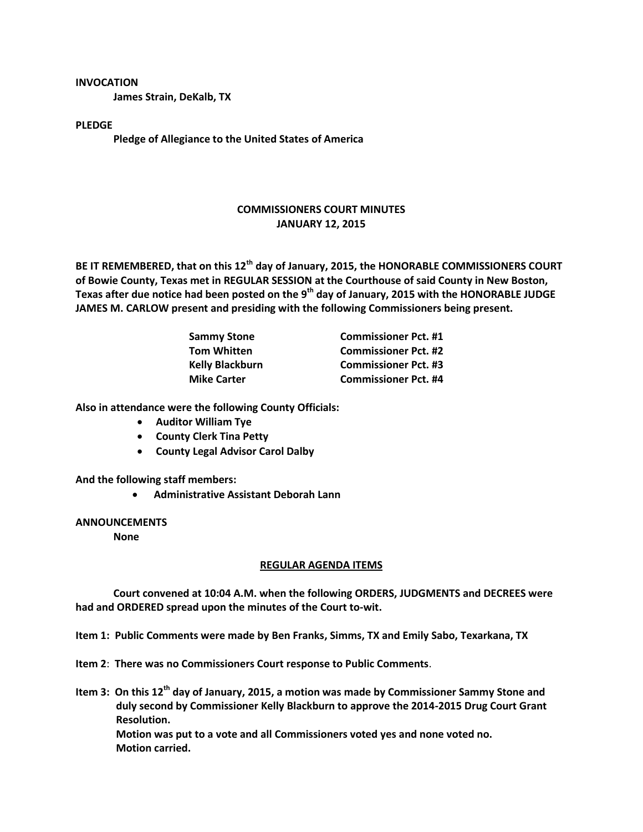## **INVOCATION**

**James Strain, DeKalb, TX**

## **PLEDGE**

**Pledge of Allegiance to the United States of America**

## **COMMISSIONERS COURT MINUTES JANUARY 12, 2015**

**BE IT REMEMBERED, that on this 12th day of January, 2015, the HONORABLE COMMISSIONERS COURT of Bowie County, Texas met in REGULAR SESSION at the Courthouse of said County in New Boston, Texas after due notice had been posted on the 9th day of January, 2015 with the HONORABLE JUDGE JAMES M. CARLOW present and presiding with the following Commissioners being present.**

| <b>Sammy Stone</b>     | <b>Commissioner Pct. #1</b> |
|------------------------|-----------------------------|
| <b>Tom Whitten</b>     | <b>Commissioner Pct. #2</b> |
| <b>Kelly Blackburn</b> | <b>Commissioner Pct. #3</b> |
| <b>Mike Carter</b>     | <b>Commissioner Pct. #4</b> |

**Also in attendance were the following County Officials:**

- **Auditor William Tye**
- **County Clerk Tina Petty**
- **County Legal Advisor Carol Dalby**

**And the following staff members:**

**Administrative Assistant Deborah Lann**

**ANNOUNCEMENTS**

**None**

## **REGULAR AGENDA ITEMS**

**Court convened at 10:04 A.M. when the following ORDERS, JUDGMENTS and DECREES were had and ORDERED spread upon the minutes of the Court to-wit.**

**Item 1: Public Comments were made by Ben Franks, Simms, TX and Emily Sabo, Texarkana, TX**

- **Item 2**: **There was no Commissioners Court response to Public Comments**.
- **Item 3: On this 12th day of January, 2015, a motion was made by Commissioner Sammy Stone and duly second by Commissioner Kelly Blackburn to approve the 2014-2015 Drug Court Grant Resolution. Motion was put to a vote and all Commissioners voted yes and none voted no. Motion carried.**